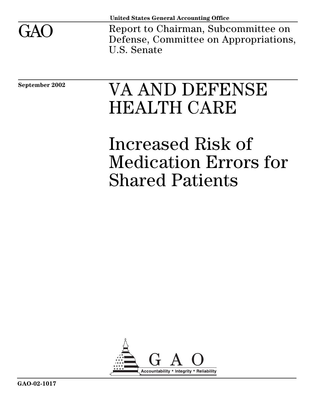

Report to Chairman, Subcommittee on Defense, Committee on Appropriations, U.S. Senate

# September 2002 **VA AND DEFENSE** HEALTH CARE

Increased Risk of Medication Errors for Shared Patients

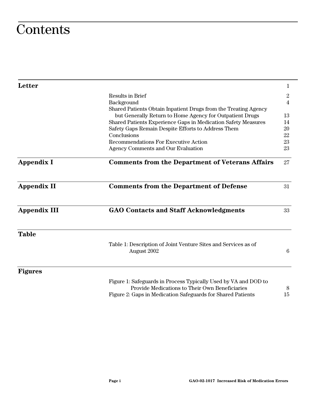## **Contents**

| <b>Letter</b>       |                                                                               | 1               |
|---------------------|-------------------------------------------------------------------------------|-----------------|
|                     | <b>Results in Brief</b>                                                       | $\overline{2}$  |
|                     | Background                                                                    | $\overline{4}$  |
|                     | Shared Patients Obtain Inpatient Drugs from the Treating Agency               |                 |
|                     | but Generally Return to Home Agency for Outpatient Drugs                      | 13              |
|                     | Shared Patients Experience Gaps in Medication Safety Measures                 | 14              |
|                     | Safety Gaps Remain Despite Efforts to Address Them                            | 20              |
|                     | Conclusions                                                                   | 22              |
|                     | <b>Recommendations For Executive Action</b>                                   | 23              |
|                     | <b>Agency Comments and Our Evaluation</b>                                     | 23              |
| <b>Appendix I</b>   | <b>Comments from the Department of Veterans Affairs</b>                       | 27              |
| <b>Appendix II</b>  | <b>Comments from the Department of Defense</b>                                | 31              |
| <b>Appendix III</b> | <b>GAO Contacts and Staff Acknowledgments</b>                                 | 33              |
| <b>Table</b>        |                                                                               |                 |
|                     | Table 1: Description of Joint Venture Sites and Services as of<br>August 2002 | $6\phantom{.}6$ |
| <b>Figures</b>      |                                                                               |                 |
|                     | Figure 1: Safeguards in Process Typically Used by VA and DOD to               |                 |
|                     | Provide Medications to Their Own Beneficiaries                                | 8               |
|                     | Figure 2: Gaps in Medication Safeguards for Shared Patients                   | 15              |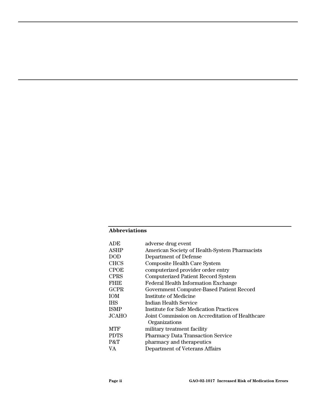#### **Abbreviations**

| adverse drug event                              |
|-------------------------------------------------|
| American Society of Health-System Pharmacists   |
| Department of Defense                           |
| Composite Health Care System                    |
| computerized provider order entry               |
| <b>Computerized Patient Record System</b>       |
| <b>Federal Health Information Exchange</b>      |
| Government Computer-Based Patient Record        |
| Institute of Medicine                           |
| Indian Health Service                           |
| <b>Institute for Safe Medication Practices</b>  |
| Joint Commission on Accreditation of Healthcare |
| Organizations                                   |
| military treatment facility                     |
| <b>Pharmacy Data Transaction Service</b>        |
| pharmacy and therapeutics                       |
| Department of Veterans Affairs                  |
|                                                 |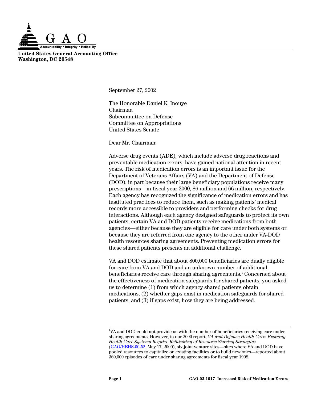

**United States General Accounting Office Washington, DC 20548** 

September 27, 2002

The Honorable Daniel K. Inouye Chairman Subcommittee on Defense Committee on Appropriations United States Senate

Dear Mr. Chairman:

Adverse drug events (ADE), which include adverse drug reactions and preventable medication errors, have gained national attention in recent years. The risk of medication errors is an important issue for the Department of Veterans Affairs (VA) and the Department of Defense (DOD), in part because their large beneficiary populations receive many prescriptions—in fiscal year 2000, 86 million and 66 million, respectively. Each agency has recognized the significance of medication errors and has instituted practices to reduce them, such as making patients' medical records more accessible to providers and performing checks for drug interactions. Although each agency designed safeguards to protect its own patients, certain VA and DOD patients receive medications from both agencies—either because they are eligible for care under both systems or because they are referred from one agency to the other under VA-DOD health resources sharing agreements. Preventing medication errors for these shared patients presents an additional challenge.

VA and DOD estimate that about 800,000 beneficiaries are dually eligible for care from VA and DOD and an unknown number of additional beneficiaries receive care through sharing agreements.<sup>1</sup> Concerned about the effectiveness of medication safeguards for shared patients, you asked us to determine (1) from which agency shared patients obtain medications, (2) whether gaps exist in medication safeguards for shared patients, and (3) if gaps exist, how they are being addressed.

<sup>|&</sup>lt;br>|<br>| <sup>1</sup>VA and DOD could not provide us with the number of beneficiaries receiving care under sharing agreements. However, in our 2000 report, *VA and Defense Health Care: Evolving Health Care Systems Require Rethinking of Resource Sharing Strategies*  [\(GAO/HEHS-00-52,](http://www.gao.gov./cgi-bin/getrpt?GAO/HEHS-00-52) May 17, 2000), six joint venture sites—sites where VA and DOD have pooled resources to capitalize on existing facilities or to build new ones—reported about 360,000 episodes of care under sharing agreements for fiscal year 1998.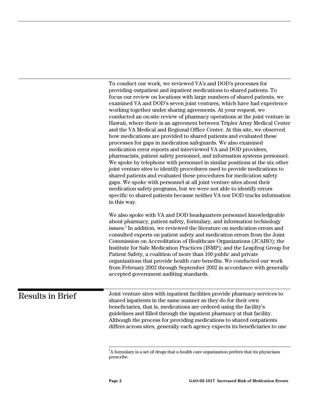To conduct our work, we reviewed VA's and DOD's processes for providing outpatient and inpatient medications to shared patients. To focus our review on locations with large numbers of shared patients, we examined VA and DOD's seven joint ventures, which have had experience working together under sharing agreements. At your request, we conducted an on-site review of pharmacy operations at the joint venture in Hawaii, where there is an agreement between Tripler Army Medical Center and the VA Medical and Regional Office Center. At this site, we observed how medications are provided to shared patients and evaluated these processes for gaps in medication safeguards. We also examined medication error reports and interviewed VA and DOD providers, pharmacists, patient safety personnel, and information systems personnel. We spoke by telephone with personnel in similar positions at the six other joint venture sites to identify procedures used to provide medications to shared patients and evaluated these procedures for medication safety gaps. We spoke with personnel at all joint venture sites about their medication safety programs, but we were not able to identify errors specific to shared patients because neither VA nor DOD tracks information in this way.

We also spoke with VA and DOD headquarters personnel knowledgeable about pharmacy, patient safety, formulary, and information technology issues.<sup>2</sup> In addition, we reviewed the literature on medication errors and consulted experts on patient safety and medication errors from the Joint Commission on Accreditation of Healthcare Organizations (JCAHO); the Institute for Safe Medication Practices (ISMP); and the Leapfrog Group for Patient Safety, a coalition of more than 100 public and private organizations that provide health care benefits. We conducted our work from February 2002 through September 2002 in accordance with generally accepted government auditing standards.

## Results in Brief

Joint venture sites with inpatient facilities provide pharmacy services to shared inpatients in the same manner as they do for their own beneficiaries, that is, medications are ordered using the facility's guidelines and filled through the inpatient pharmacy at that facility. Although the process for providing medications to shared outpatients differs across sites, generally each agency expects its beneficiaries to use

 $\frac{1}{2}$  $A^2$ A formulary is a set of drugs that a health care organization prefers that its physicians prescribe.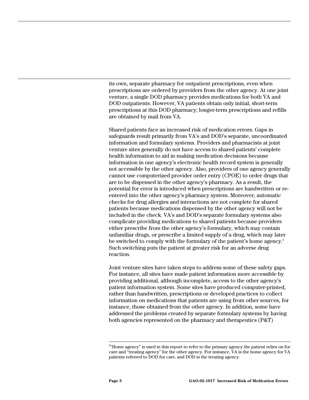its own, separate pharmacy for outpatient prescriptions, even when prescriptions are ordered by providers from the other agency. At one joint venture, a single DOD pharmacy provides medications for both VA and DOD outpatients. However, VA patients obtain only initial, short-term prescriptions at this DOD pharmacy; longer-term prescriptions and refills are obtained by mail from VA.

Shared patients face an increased risk of medication errors. Gaps in safeguards result primarily from VA's and DOD's separate, uncoordinated information and formulary systems. Providers and pharmacists at joint venture sites generally do not have access to shared patients' complete health information to aid in making medication decisions because information in one agency's electronic health record system is generally not accessible by the other agency. Also, providers of one agency generally cannot use computerized provider order entry (CPOE) to order drugs that are to be dispensed in the other agency's pharmacy. As a result, the potential for error is introduced when prescriptions are handwritten or reentered into the other agency's pharmacy system. Moreover, automatic checks for drug allergies and interactions are not complete for shared patients because medications dispensed by the other agency will not be included in the check. VA's and DOD's separate formulary systems also complicate providing medications to shared patients because providers either prescribe from the other agency's formulary, which may contain unfamiliar drugs, or prescribe a limited supply of a drug, which may later be switched to comply with the formulary of the patient's home agency.<sup>3</sup> Such switching puts the patient at greater risk for an adverse drug reaction.

Joint venture sites have taken steps to address some of these safety gaps. For instance, all sites have made patient information more accessible by providing additional, although incomplete, access to the other agency's patient information system. Some sites have produced computer-printed, rather than handwritten, prescriptions or developed practices to collect information on medications that patients are using from other sources, for instance, those obtained from the other agency. In addition, some have addressed the problems created by separate formulary systems by having both agencies represented on the pharmacy and therapeutics (P&T)

 $\frac{1}{3}$  $34$ <sup>3</sup> Home agency" is used in this report to refer to the primary agency the patient relies on for care and "treating agency" for the other agency. For instance, VA is the home agency for VA patients referred to DOD for care, and DOD is the treating agency.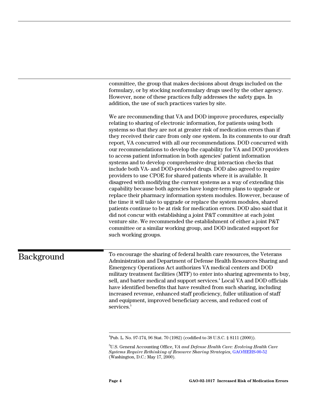committee, the group that makes decisions about drugs included on the formulary, or by stocking nonformulary drugs used by the other agency. However, none of these practices fully addresses the safety gaps. In addition, the use of such practices varies by site.

We are recommending that VA and DOD improve procedures, especially relating to sharing of electronic information, for patients using both systems so that they are not at greater risk of medication errors than if they received their care from only one system. In its comments to our draft report, VA concurred with all our recommendations. DOD concurred with our recommendations to develop the capability for VA and DOD providers to access patient information in both agencies' patient information systems and to develop comprehensive drug interaction checks that include both VA- and DOD-provided drugs. DOD also agreed to require providers to use CPOE for shared patients where it is available. It disagreed with modifying the current systems as a way of extending this capability because both agencies have longer-term plans to upgrade or replace their pharmacy information system modules. However, because of the time it will take to upgrade or replace the system modules, shared patients continue to be at risk for medication errors. DOD also said that it did not concur with establishing a joint P&T committee at each joint venture site. We recommended the establishment of either a joint P&T committee or a similar working group, and DOD indicated support for such working groups.

## Background

To encourage the sharing of federal health care resources, the Veterans Administration and Department of Defense Health Resources Sharing and Emergency Operations Act authorizes VA medical centers and DOD military treatment facilities (MTF) to enter into sharing agreements to buy, sell, and barter medical and support services.<sup>4</sup> Local VA and DOD officials have identified benefits that have resulted from such sharing, including increased revenue, enhanced staff proficiency, fuller utilization of staff and equipment, improved beneficiary access, and reduced cost of services.<sup>5</sup>

 $\frac{1}{4}$ Pub. L. No. 97-174, 96 Stat. 70 (1982) (codified to 38 U.S.C. § 8111 (2000)).

<sup>5</sup> U.S. General Accounting Office, *VA and Defense Health Care: Evolving Health Care Systems Require Rethinking of Resource Sharing Strategies*, [GAO/HEHS-00-52](http://www.gao.gov./cgi-bin/getrpt?GAO/HEHS-00-52) (Washington, D.C.: May 17, 2000).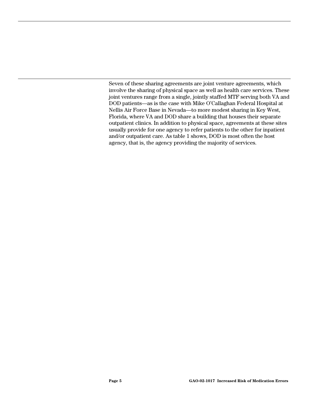Seven of these sharing agreements are joint venture agreements, which involve the sharing of physical space as well as health care services. These joint ventures range from a single, jointly staffed MTF serving both VA and DOD patients—as is the case with Mike O'Callaghan Federal Hospital at Nellis Air Force Base in Nevada—to more modest sharing in Key West, Florida, where VA and DOD share a building that houses their separate outpatient clinics. In addition to physical space, agreements at these sites usually provide for one agency to refer patients to the other for inpatient and/or outpatient care. As table 1 shows, DOD is most often the host agency, that is, the agency providing the majority of services.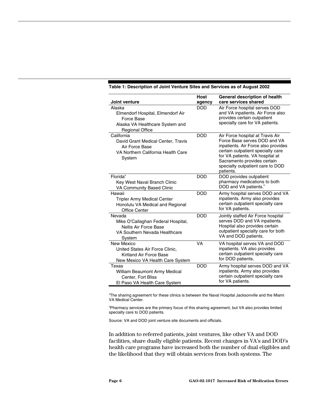| Joint venture                                                                                                          | <b>Host</b><br>agency | General description of health<br>care services shared                                                                                                                                                                                                           |
|------------------------------------------------------------------------------------------------------------------------|-----------------------|-----------------------------------------------------------------------------------------------------------------------------------------------------------------------------------------------------------------------------------------------------------------|
| Alaska<br>Elmendorf Hospital, Elmendorf Air<br>Force Base<br>Alaska VA Healthcare System and<br><b>Regional Office</b> | <b>DOD</b>            | Air Force hospital serves DOD<br>and VA inpatients. Air Force also<br>provides certain outpatient<br>specialty care for VA patients.                                                                                                                            |
| California<br>David Grant Medical Center, Travis<br>Air Force Base<br>VA Northern California Health Care<br>System     | <b>DOD</b>            | Air Force hospital at Travis Air<br>Force Base serves DOD and VA<br>inpatients. Air Force also provides<br>certain outpatient specialty care<br>for VA patients. VA hospital at<br>Sacramento provides certain<br>specialty outpatient care to DOD<br>patients. |
| Florida <sup>ª</sup><br>Key West Naval Branch Clinic<br>VA Community Based Clinic                                      | <b>DOD</b>            | DOD provides outpatient<br>pharmacy medications to both<br>DOD and VA patients. <sup>b</sup>                                                                                                                                                                    |
| Hawaii<br><b>Tripler Army Medical Center</b><br>Honolulu VA Medical and Regional<br>Office Center                      | <b>DOD</b>            | Army hospital serves DOD and VA<br>inpatients. Army also provides<br>certain outpatient specialty care<br>for VA patients.                                                                                                                                      |
| Nevada<br>Mike O'Callaghan Federal Hospital,<br>Nellis Air Force Base<br>VA Southern Nevada Healthcare<br>System       | <b>DOD</b>            | Jointly staffed Air Force hospital<br>serves DOD and VA inpatients.<br>Hospital also provides certain<br>outpatient specialty care for both<br>VA and DOD patients.                                                                                             |
| New Mexico<br>United States Air Force Clinic,<br>Kirtland Air Force Base<br>New Mexico VA Health Care System           | VA                    | VA hospital serves VA and DOD<br>inpatients. VA also provides<br>certain outpatient specialty care<br>for DOD patients.                                                                                                                                         |
| Texas<br>William Beaumont Army Medical<br>Center, Fort Bliss<br>El Paso VA Health Care System                          | <b>DOD</b>            | Army hospital serves DOD and VA<br>inpatients. Army also provides<br>certain outpatient specialty care<br>for VA patients.                                                                                                                                      |

#### **Table 1: Description of Joint Venture Sites and Services as of August 2002**

<sup>a</sup>The sharing agreement for these clinics is between the Naval Hospital Jacksonville and the Miami VA Medical Center.

Pharmacy services are the primary focus of this sharing agreement, but VA also provides limited specialty care to DOD patients.

Source: VA and DOD joint venture site documents and officials.

In addition to referred patients, joint ventures, like other VA and DOD facilities, share dually eligible patients. Recent changes in VA's and DOD's health care programs have increased both the number of dual eligibles and the likelihood that they will obtain services from both systems. The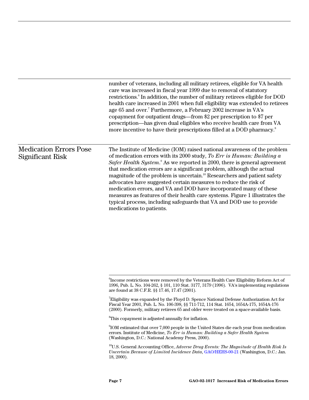|                                                   | number of veterans, including all military retirees, eligible for VA health<br>care was increased in fiscal year 1999 due to removal of statutory<br>restrictions. <sup>6</sup> In addition, the number of military retirees eligible for DOD<br>health care increased in 2001 when full eligibility was extended to retirees<br>age 65 and over. <sup>7</sup> Furthermore, a February 2002 increase in VA's<br>copayment for outpatient drugs—from \$2 per prescription to \$7 per<br>prescription-has given dual eligibles who receive health care from VA<br>more incentive to have their prescriptions filled at a DOD pharmacy. <sup>8</sup>                                                                                    |
|---------------------------------------------------|--------------------------------------------------------------------------------------------------------------------------------------------------------------------------------------------------------------------------------------------------------------------------------------------------------------------------------------------------------------------------------------------------------------------------------------------------------------------------------------------------------------------------------------------------------------------------------------------------------------------------------------------------------------------------------------------------------------------------------------|
| <b>Medication Errors Pose</b><br>Significant Risk | The Institute of Medicine (IOM) raised national awareness of the problem<br>of medication errors with its 2000 study, To Err is Human: Building a<br>Safer Health System. <sup>9</sup> As we reported in 2000, there is general agreement<br>that medication errors are a significant problem, although the actual<br>magnitude of the problem is uncertain. <sup>10</sup> Researchers and patient safety<br>advocates have suggested certain measures to reduce the risk of<br>medication errors, and VA and DOD have incorporated many of these<br>measures as features of their health care systems. Figure 1 illustrates the<br>typical process, including safeguards that VA and DOD use to provide<br>medications to patients. |

 ${}^{8}$ This copayment is adjusted annually for inflation.

<sup>-&</sup>lt;br>6  ${}^{6}\!$  Income restrictions were removed by the Veterans Health Care Eligibility Reform Act of 1996, Pub. L. No. 104-262, § 101, 110 Stat. 3177, 3179 (1996). VA's implementing regulations are found at 38 C.F.R. §§ 17.46, 17.47 (2001).

 $\mathrm{^{7}E}$ ligibility was expanded by the Floyd D. Spence National Defense Authorization Act for Fiscal Year 2001, Pub. L. No. 106-398, §§ 711-712, 114 Stat. 1654, 1654A-175, 1654A-176 (2000). Formerly, military retirees 65 and older were treated on a space-available basis.

<sup>9</sup> IOM estimated that over 7,000 people in the United States die each year from medication errors. Institute of Medicine, *To Err is Human: Building a Safer Health System*  (Washington, D.C.: National Academy Press, 2000).

<sup>10</sup>U.S. General Accounting Office, *Adverse Drug Events: The Magnitude of Health Risk Is Uncertain Because of Limited Incidence Data*[, GAO/HEHS-00-21](http://www.gao.gov./cgi-bin/getrpt?GAO/HEHS-00-21) (Washington, D.C.: Jan. 18, 2000).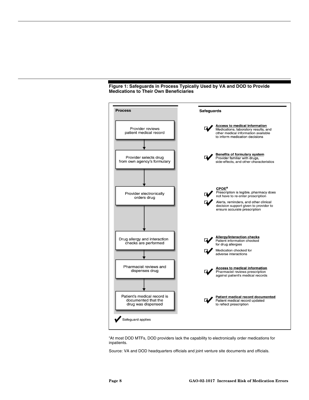



<sup>&</sup>lt;sup>a</sup>At most DOD MTFs, DOD providers lack the capability to electronically order medications for inpatients.

Source: VA and DOD headquarters officials and joint venture site documents and officials.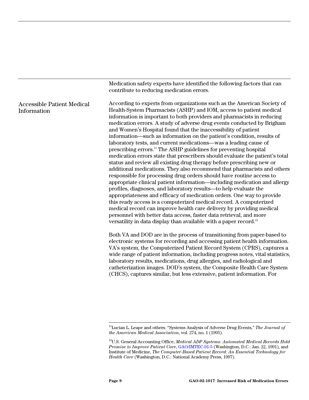|                                                  | Medication safety experts have identified the following factors that can<br>contribute to reducing medication errors.                                                                                                                                                                                                                                                                                                                                                                                                                                                                                                                                                                                                                                                                                                                                                                                                                                                                                                                                                                                                                                                                                                                                                                                                                                                                                                                          |
|--------------------------------------------------|------------------------------------------------------------------------------------------------------------------------------------------------------------------------------------------------------------------------------------------------------------------------------------------------------------------------------------------------------------------------------------------------------------------------------------------------------------------------------------------------------------------------------------------------------------------------------------------------------------------------------------------------------------------------------------------------------------------------------------------------------------------------------------------------------------------------------------------------------------------------------------------------------------------------------------------------------------------------------------------------------------------------------------------------------------------------------------------------------------------------------------------------------------------------------------------------------------------------------------------------------------------------------------------------------------------------------------------------------------------------------------------------------------------------------------------------|
| <b>Accessible Patient Medical</b><br>Information | According to experts from organizations such as the American Society of<br>Health-System Pharmacists (ASHP) and IOM, access to patient medical<br>information is important to both providers and pharmacists in reducing<br>medication errors. A study of adverse drug events conducted by Brigham<br>and Women's Hospital found that the inaccessibility of patient<br>information—such as information on the patient's condition, results of<br>laboratory tests, and current medications—was a leading cause of<br>prescribing errors. <sup>11</sup> The ASHP guidelines for preventing hospital<br>medication errors state that prescribers should evaluate the patient's total<br>status and review all existing drug therapy before prescribing new or<br>additional medications. They also recommend that pharmacists and others<br>responsible for processing drug orders should have routine access to<br>appropriate clinical patient information—including medication and allergy<br>profiles, diagnoses, and laboratory results—to help evaluate the<br>appropriateness and efficacy of medication orders. One way to provide<br>this ready access is a computerized medical record. A computerized<br>medical record can improve health care delivery by providing medical<br>personnel with better data access, faster data retrieval, and more<br>versatility in data display than available with a paper record. <sup>12</sup> |
|                                                  | Both VA and DOD are in the process of transitioning from paper-based to<br>electronic systems for recording and accessing patient health information.<br>VA's system, the Computerized Patient Record System (CPRS), captures a<br>wide range of patient information, including progress notes, vital statistics,<br>laboratory results, medications, drug allergies, and radiological and<br>catheterization images. DOD's system, the Composite Health Care System<br>(CHCS), captures similar, but less extensive, patient information. For                                                                                                                                                                                                                                                                                                                                                                                                                                                                                                                                                                                                                                                                                                                                                                                                                                                                                                 |

 <sup>11</sup>Lucian L. Leape and others. "Systems Analysis of Adverse Drug Events," *The Journal of the American Medical Association*, vol. 274, no. 1 (1995).

<sup>12</sup>U.S. General Accounting Office, *Medical ADP Systems: Automated Medical Records Hold Promise to Improve Patient Care*[, GAO/IMTEC-91-5 \(W](http://www.gao.gov./cgi-bin/getrpt?GAO/IMTEC-91-5)ashington, D.C.: Jan. 22, 1991), and Institute of Medicine, *The Computer-Based Patient Record: An Essential Technology for Health Care* (Washington, D.C.: National Academy Press, 1997).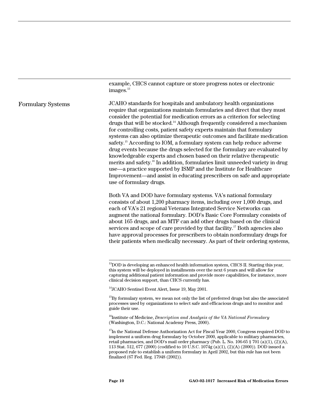example, CHCS cannot capture or store progress notes or electronic images.<sup>13</sup>

JCAHO standards for hospitals and ambulatory health organizations require that organizations maintain formularies and direct that they must consider the potential for medication errors as a criterion for selecting drugs that will be stocked.14 Although frequently considered a mechanism for controlling costs, patient safety experts maintain that formulary systems can also optimize therapeutic outcomes and facilitate medication safety.15 According to IOM, a formulary system can help reduce adverse drug events because the drugs selected for the formulary are evaluated by knowledgeable experts and chosen based on their relative therapeutic merits and safety.16 In addition, formularies limit unneeded variety in drug use—a practice supported by ISMP and the Institute for Healthcare Improvement—and assist in educating prescribers on safe and appropriate use of formulary drugs. Formulary Systems

> Both VA and DOD have formulary systems. VA's national formulary consists of about 1,200 pharmacy items, including over 1,000 drugs, and each of VA's 21 regional Veterans Integrated Service Networks can augment the national formulary. DOD's Basic Core Formulary consists of about 165 drugs, and an MTF can add other drugs based on the clinical services and scope of care provided by that facility.<sup>17</sup> Both agencies also have approval processes for prescribers to obtain nonformulary drugs for their patients when medically necessary. As part of their ordering systems,

<sup>16</sup>Institute of Medicine, *Description and Analysis of the VA National Formulary* (Washington, D.C.: National Academy Press, 2000).

 $^{13}$ DOD is developing an enhanced health information system, CHCS II. Starting this year, this system will be deployed in installments over the next 6 years and will allow for capturing additional patient information and provide more capabilities, for instance, more clinical decision support, than CHCS currently has.

<sup>&</sup>lt;sup>14</sup>JCAHO Sentinel Event Alert, Issue 19, May 2001.

 $^{15}$ By formulary system, we mean not only the list of preferred drugs but also the associated processes used by organizations to select safe and efficacious drugs and to monitor and guide their use.

<sup>&</sup>lt;sup>17</sup>In the National Defense Authorization Act for Fiscal Year 2000, Congress required DOD to implement a uniform drug formulary by October 2000, applicable to military pharmacies, retail pharmacies, and DOD's mail order pharmacy (Pub. L. No. 106-65  $\S$  701 (a)(1), (2)(A), 113 Stat. 512, 677 (2000) (codified to 10 U.S.C. 1074g (a)(1), (2)(A) (2000)). DOD issued a proposed rule to establish a uniform formulary in April 2002, but this rule has not been finalized (67 Fed. Reg. 17948 (2002)).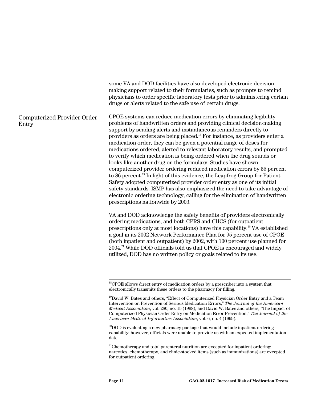some VA and DOD facilities have also developed electronic decisionmaking support related to their formularies, such as prompts to remind physicians to order specific laboratory tests prior to administering certain drugs or alerts related to the safe use of certain drugs.

#### Computerized Provider Order Entry

CPOE systems can reduce medication errors by eliminating legibility problems of handwritten orders and providing clinical decision-making support by sending alerts and instantaneous reminders directly to providers as orders are being placed.18 For instance, as providers enter a medication order, they can be given a potential range of doses for medications ordered, alerted to relevant laboratory results, and prompted to verify which medication is being ordered when the drug sounds or looks like another drug on the formulary. Studies have shown computerized provider ordering reduced medication errors by 55 percent to 86 percent.19 In light of this evidence, the Leapfrog Group for Patient Safety adopted computerized provider order entry as one of its initial safety standards. ISMP has also emphasized the need to take advantage of electronic ordering technology, calling for the elimination of handwritten prescriptions nationwide by 2003.

VA and DOD acknowledge the safety benefits of providers electronically ordering medications, and both CPRS and CHCS (for outpatient prescriptions only at most locations) have this capability.20 VA established a goal in its 2002 Network Performance Plan for 95 percent use of CPOE (both inpatient and outpatient) by 2002, with 100 percent use planned for 2004.<sup>21</sup> While DOD officials told us that CPOE is encouraged and widely utilized, DOD has no written policy or goals related to its use.

 $18$ <sup>18</sup>CPOE allows direct entry of medication orders by a prescriber into a system that electronically transmits these orders to the pharmacy for filling.

<sup>&</sup>lt;sup>19</sup>David W. Bates and others, "Effect of Computerized Physician Order Entry and a Team Intervention on Prevention of Serious Medication Errors," *The Journal of the American Medical Association*, vol. 280, no. 15 (1998), and David W. Bates and others, "The Impact of Computerized Physician Order Entry on Medication Error Prevention," *The Journal of the American Medical Informatics Association*, vol. 6, no. 4 (1999).

 $^{20}$ DOD is evaluating a new pharmacy package that would include inpatient ordering capability; however, officials were unable to provide us with an expected implementation date.

 $21$ Chemotherapy and total parenteral nutrition are excepted for inpatient ordering; narcotics, chemotherapy, and clinic-stocked items (such as immunizations) are excepted for outpatient ordering.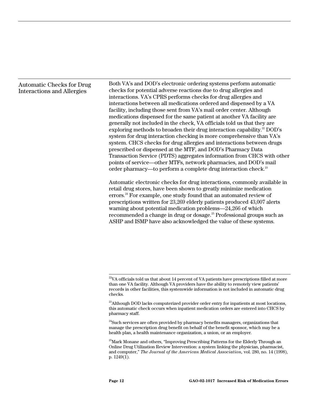#### Automatic Checks for Drug Interactions and Allergies

Both VA's and DOD's electronic ordering systems perform automatic checks for potential adverse reactions due to drug allergies and interactions. VA's CPRS performs checks for drug allergies and interactions between all medications ordered and dispensed by a VA facility, including those sent from VA's mail order center. Although medications dispensed for the same patient at another VA facility are generally not included in the check, VA officials told us that they are exploring methods to broaden their drug interaction capability.<sup>22</sup> DOD's system for drug interaction checking is more comprehensive than VA's system. CHCS checks for drug allergies and interactions between drugs prescribed or dispensed at the MTF, and DOD's Pharmacy Data Transaction Service (PDTS) aggregates information from CHCS with other points of service—other MTFs, network pharmacies, and DOD's mail order pharmacy—to perform a complete drug interaction check.<sup>23</sup>

Automatic electronic checks for drug interactions, commonly available in retail drug stores, have been shown to greatly minimize medication errors.<sup>24</sup> For example, one study found that an automated review of prescriptions written for 23,269 elderly patients produced 43,007 alerts warning about potential medication problems—24,266 of which recommended a change in drug or dosage.<sup>25</sup> Professional groups such as ASHP and ISMP have also acknowledged the value of these systems.

 $22$ VA officials told us that about 14 percent of VA patients have prescriptions filled at more than one VA facility. Although VA providers have the ability to remotely view patients' records in other facilities, this systemwide information is not included in automatic drug checks.

 $^{23}$ Although DOD lacks computerized provider order entry for inpatients at most locations, this automatic check occurs when inpatient medication orders are entered into CHCS by pharmacy staff.

 $24$ Such services are often provided by pharmacy benefits managers, organizations that manage the prescription drug benefit on behalf of the benefit sponsor, which may be a health plan, a health maintenance organization, a union, or an employer.

<sup>&</sup>lt;sup>25</sup>Mark Monane and others, "Improving Prescribing Patterns for the Elderly Through an Online Drug Utilization Review Intervention: a system linking the physician, pharmacist, and computer," *The Journal of the American Medical Association,* vol. 280, no. 14 (1998), p. 1249(1).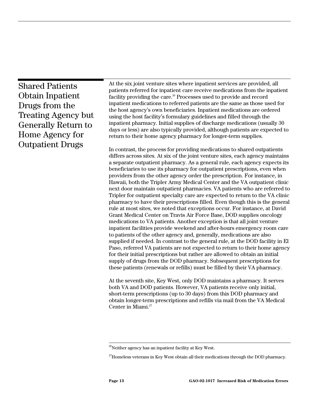Shared Patients Obtain Inpatient Drugs from the Treating Agency but Generally Return to Home Agency for Outpatient Drugs

At the six joint venture sites where inpatient services are provided, all patients referred for inpatient care receive medications from the inpatient facility providing the care.<sup>26</sup> Processes used to provide and record inpatient medications to referred patients are the same as those used for the host agency's own beneficiaries. Inpatient medications are ordered using the host facility's formulary guidelines and filled through the inpatient pharmacy. Initial supplies of discharge medications (usually 30 days or less) are also typically provided, although patients are expected to return to their home agency pharmacy for longer-term supplies.

In contrast, the process for providing medications to shared outpatients differs across sites. At six of the joint venture sites, each agency maintains a separate outpatient pharmacy. As a general rule, each agency expects its beneficiaries to use its pharmacy for outpatient prescriptions, even when providers from the other agency order the prescription. For instance, in Hawaii, both the Tripler Army Medical Center and the VA outpatient clinic next door maintain outpatient pharmacies. VA patients who are referred to Tripler for outpatient specialty care are expected to return to the VA clinic pharmacy to have their prescriptions filled. Even though this is the general rule at most sites, we noted that exceptions occur. For instance, at David Grant Medical Center on Travis Air Force Base, DOD supplies oncology medications to VA patients. Another exception is that all joint venture inpatient facilities provide weekend and after-hours emergency room care to patients of the other agency and, generally, medications are also supplied if needed. In contrast to the general rule, at the DOD facility in El Paso, referred VA patients are not expected to return to their home agency for their initial prescriptions but rather are allowed to obtain an initial supply of drugs from the DOD pharmacy. Subsequent prescriptions for these patients (renewals or refills) must be filled by their VA pharmacy.

At the seventh site, Key West, only DOD maintains a pharmacy. It serves both VA and DOD patients. However, VA patients receive only initial, short-term prescriptions (up to 30 days) from this DOD pharmacy and obtain longer-term prescriptions and refills via mail from the VA Medical Center in Miami.27

 $26$ Neither agency has an inpatient facility at Key West.

<sup>&</sup>lt;sup>27</sup>Homeless veterans in Key West obtain all their medications through the DOD pharmacy.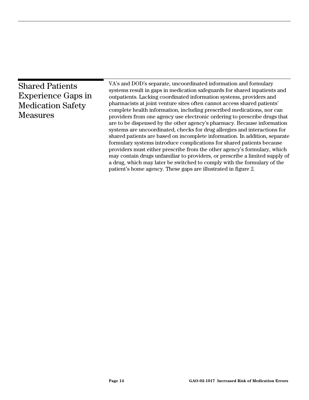| <b>Shared Patients</b><br><b>Experience Gaps in</b><br><b>Medication Safety</b><br><b>Measures</b> | VA's and DOD's separate, uncoordinated information and formulary<br>systems result in gaps in medication safeguards for shared inpatients and<br>outpatients. Lacking coordinated information systems, providers and<br>pharmacists at joint venture sites often cannot access shared patients'<br>complete health information, including prescribed medications, nor can<br>providers from one agency use electronic ordering to prescribe drugs that<br>are to be dispensed by the other agency's pharmacy. Because information<br>systems are uncoordinated, checks for drug allergies and interactions for<br>shared patients are based on incomplete information. In addition, separate<br>formulary systems introduce complications for shared patients because<br>providers must either prescribe from the other agency's formulary, which<br>may contain drugs unfamiliar to providers, or prescribe a limited supply of |
|----------------------------------------------------------------------------------------------------|----------------------------------------------------------------------------------------------------------------------------------------------------------------------------------------------------------------------------------------------------------------------------------------------------------------------------------------------------------------------------------------------------------------------------------------------------------------------------------------------------------------------------------------------------------------------------------------------------------------------------------------------------------------------------------------------------------------------------------------------------------------------------------------------------------------------------------------------------------------------------------------------------------------------------------|
|                                                                                                    | a drug, which may later be switched to comply with the formulary of the<br>patient's home agency. These gaps are illustrated in figure 2.                                                                                                                                                                                                                                                                                                                                                                                                                                                                                                                                                                                                                                                                                                                                                                                        |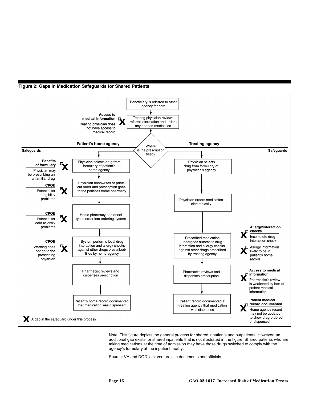



Note: This figure depicts the general process for shared inpatients and outpatients. However, an additional gap exists for shared inpatients that is not illustrated in the figure. Shared patients who are taking medications at the time of admission may have those drugs switched to comply with the agency's formulary at the inpatient facility.

Source: VA and DOD joint venture site documents and officials.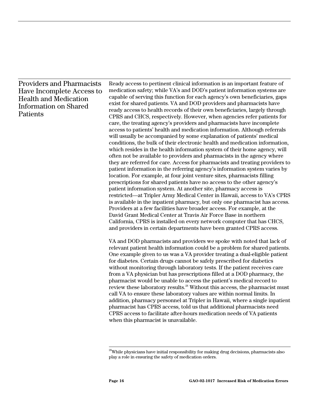### Providers and Pharmacists Have Incomplete Access to Health and Medication Information on Shared Patients

Ready access to pertinent clinical information is an important feature of medication safety; while VA's and DOD's patient information systems are capable of serving this function for each agency's own beneficiaries, gaps exist for shared patients. VA and DOD providers and pharmacists have ready access to health records of their own beneficiaries, largely through CPRS and CHCS, respectively. However, when agencies refer patients for care, the treating agency's providers and pharmacists have incomplete access to patients' health and medication information. Although referrals will usually be accompanied by some explanation of patients' medical conditions, the bulk of their electronic health and medication information, which resides in the health information system of their home agency, will often not be available to providers and pharmacists in the agency where they are referred for care. Access for pharmacists and treating providers to patient information in the referring agency's information system varies by location. For example, at four joint venture sites, pharmacists filling prescriptions for shared patients have no access to the other agency's patient information system. At another site, pharmacy access is restricted—at Tripler Army Medical Center in Hawaii, access to VA's CPRS is available in the inpatient pharmacy, but only one pharmacist has access. Providers at a few facilities have broader access. For example, at the David Grant Medical Center at Travis Air Force Base in northern California, CPRS is installed on every network computer that has CHCS, and providers in certain departments have been granted CPRS access.

VA and DOD pharmacists and providers we spoke with noted that lack of relevant patient health information could be a problem for shared patients. One example given to us was a VA provider treating a dual-eligible patient for diabetes. Certain drugs cannot be safely prescribed for diabetics without monitoring through laboratory tests. If the patient receives care from a VA physician but has prescriptions filled at a DOD pharmacy, the pharmacist would be unable to access the patient's medical record to review these laboratory results.28 Without this access, the pharmacist must call VA to ensure these laboratory values are within normal limits. In addition, pharmacy personnel at Tripler in Hawaii, where a single inpatient pharmacist has CPRS access, told us that additional pharmacists need CPRS access to facilitate after-hours medication needs of VA patients when this pharmacist is unavailable.

 $28$ While physicians have initial responsibility for making drug decisions, pharmacists also play a role in ensuring the safety of medication orders.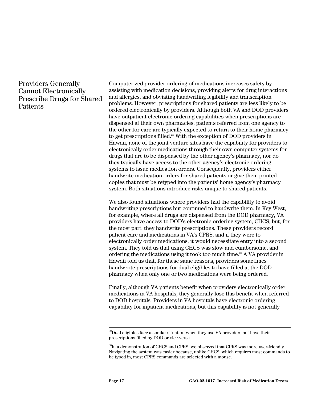#### Providers Generally Cannot Electronically Prescribe Drugs for Shared Patients

Computerized provider ordering of medications increases safety by assisting with medication decisions, providing alerts for drug interactions and allergies, and obviating handwriting legibility and transcription problems. However, prescriptions for shared patients are less likely to be ordered electronically by providers. Although both VA and DOD providers have outpatient electronic ordering capabilities when prescriptions are dispensed at their own pharmacies, patients referred from one agency to the other for care are typically expected to return to their home pharmacy to get prescriptions filled.<sup>29</sup> With the exception of DOD providers in Hawaii, none of the joint venture sites have the capability for providers to electronically order medications through their own computer systems for drugs that are to be dispensed by the other agency's pharmacy, nor do they typically have access to the other agency's electronic ordering systems to issue medication orders. Consequently, providers either handwrite medication orders for shared patients or give them printed copies that must be retyped into the patients' home agency's pharmacy system. Both situations introduce risks unique to shared patients.

We also found situations where providers had the capability to avoid handwriting prescriptions but continued to handwrite them. In Key West, for example, where all drugs are dispensed from the DOD pharmacy, VA providers have access to DOD's electronic ordering system, CHCS; but, for the most part, they handwrite prescriptions. These providers record patient care and medications in VA's CPRS, and if they were to electronically order medications, it would necessitate entry into a second system. They told us that using CHCS was slow and cumbersome, and ordering the medications using it took too much time.<sup>30</sup> A VA provider in Hawaii told us that, for these same reasons, providers sometimes handwrote prescriptions for dual eligibles to have filled at the DOD pharmacy when only one or two medications were being ordered.

Finally, although VA patients benefit when providers electronically order medications in VA hospitals, they generally lose this benefit when referred to DOD hospitals. Providers in VA hospitals have electronic ordering capability for inpatient medications, but this capability is not generally

 $^{29}$ Dual eligibles face a similar situation when they use VA providers but have their prescriptions filled by DOD or vice-versa.

 $^{30}$ In a demonstration of CHCS and CPRS, we observed that CPRS was more user-friendly. Navigating the system was easier because, unlike CHCS, which requires most commands to be typed in, most CPRS commands are selected with a mouse.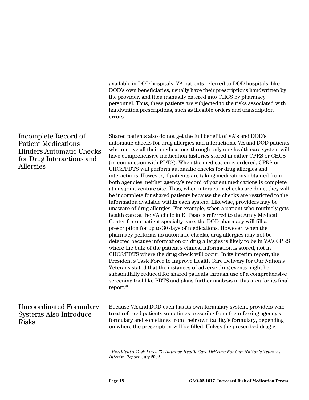|                                                                                                                                 | available in DOD hospitals. VA patients referred to DOD hospitals, like<br>DOD's own beneficiaries, usually have their prescriptions handwritten by<br>the provider, and then manually entered into CHCS by pharmacy<br>personnel. Thus, these patients are subjected to the risks associated with<br>handwritten prescriptions, such as illegible orders and transcription<br>errors.                                                                                                                                                                                                                                                                                                                                                                                                                                                                                                                                                                                                                                                                                                                                                                                                                                                                                                                                                                                                                                                                                                                                                                                                                                                                                                                                                                                                         |
|---------------------------------------------------------------------------------------------------------------------------------|------------------------------------------------------------------------------------------------------------------------------------------------------------------------------------------------------------------------------------------------------------------------------------------------------------------------------------------------------------------------------------------------------------------------------------------------------------------------------------------------------------------------------------------------------------------------------------------------------------------------------------------------------------------------------------------------------------------------------------------------------------------------------------------------------------------------------------------------------------------------------------------------------------------------------------------------------------------------------------------------------------------------------------------------------------------------------------------------------------------------------------------------------------------------------------------------------------------------------------------------------------------------------------------------------------------------------------------------------------------------------------------------------------------------------------------------------------------------------------------------------------------------------------------------------------------------------------------------------------------------------------------------------------------------------------------------------------------------------------------------------------------------------------------------|
| Incomplete Record of<br><b>Patient Medications</b><br><b>Hinders Automatic Checks</b><br>for Drug Interactions and<br>Allergies | Shared patients also do not get the full benefit of VA's and DOD's<br>automatic checks for drug allergies and interactions. VA and DOD patients<br>who receive all their medications through only one health care system will<br>have comprehensive medication histories stored in either CPRS or CHCS<br>(in conjunction with PDTS). When the medication is ordered, CPRS or<br>CHCS/PDTS will perform automatic checks for drug allergies and<br>interactions. However, if patients are taking medications obtained from<br>both agencies, neither agency's record of patient medications is complete<br>at any joint venture site. Thus, when interaction checks are done, they will<br>be incomplete for shared patients because the checks are restricted to the<br>information available within each system. Likewise, providers may be<br>unaware of drug allergies. For example, when a patient who routinely gets<br>health care at the VA clinic in El Paso is referred to the Army Medical<br>Center for outpatient specialty care, the DOD pharmacy will fill a<br>prescription for up to 30 days of medications. However, when the<br>pharmacy performs its automatic checks, drug allergies may not be<br>detected because information on drug allergies is likely to be in VA's CPRS<br>where the bulk of the patient's clinical information is stored, not in<br>CHCS/PDTS where the drug check will occur. In its interim report, the<br>President's Task Force to Improve Health Care Delivery for Our Nation's<br>Veterans stated that the instances of adverse drug events might be<br>substantially reduced for shared patients through use of a comprehensive<br>screening tool like PDTS and plans further analysis in this area for its final<br>report. <sup>31</sup> |
| <b>Systems Also Introduce</b><br><b>Risks</b>                                                                                   | Uncoordinated Formulary Because VA and DOD each has its own formulary system, providers who<br>treat referred patients sometimes prescribe from the referring agency's<br>formulary and sometimes from their own facility's formulary, depending<br>on where the prescription will be filled. Unless the prescribed drug is                                                                                                                                                                                                                                                                                                                                                                                                                                                                                                                                                                                                                                                                                                                                                                                                                                                                                                                                                                                                                                                                                                                                                                                                                                                                                                                                                                                                                                                                    |

 31*President's Task Force To Improve Health Care Delivery For Our Nation's Veterans Interim Report*, July 2002.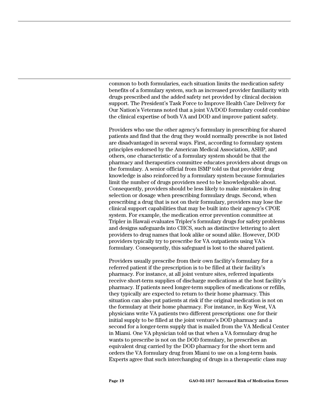common to both formularies, each situation limits the medication safety benefits of a formulary system, such as increased provider familiarity with drugs prescribed and the added safety net provided by clinical decision support. The President's Task Force to Improve Health Care Delivery for Our Nation's Veterans noted that a joint VA/DOD formulary could combine the clinical expertise of both VA and DOD and improve patient safety.

Providers who use the other agency's formulary in prescribing for shared patients and find that the drug they would normally prescribe is not listed are disadvantaged in several ways. First, according to formulary system principles endorsed by the American Medical Association, ASHP, and others, one characteristic of a formulary system should be that the pharmacy and therapeutics committee educates providers about drugs on the formulary. A senior official from ISMP told us that provider drug knowledge is also reinforced by a formulary system because formularies limit the number of drugs providers need to be knowledgeable about. Consequently, providers should be less likely to make mistakes in drug selection or dosage when prescribing formulary drugs. Second, when prescribing a drug that is not on their formulary, providers may lose the clinical support capabilities that may be built into their agency's CPOE system. For example, the medication error prevention committee at Tripler in Hawaii evaluates Tripler's formulary drugs for safety problems and designs safeguards into CHCS, such as distinctive lettering to alert providers to drug names that look alike or sound alike. However, DOD providers typically try to prescribe for VA outpatients using VA's formulary. Consequently, this safeguard is lost to the shared patient.

Providers usually prescribe from their own facility's formulary for a referred patient if the prescription is to be filled at their facility's pharmacy. For instance, at all joint venture sites, referred inpatients receive short-term supplies of discharge medications at the host facility's pharmacy. If patients need longer-term supplies of medications or refills, they typically are expected to return to their home pharmacy. This situation can also put patients at risk if the original medication is not on the formulary at their home pharmacy. For instance, in Key West, VA physicians write VA patients two different prescriptions: one for their initial supply to be filled at the joint venture's DOD pharmacy and a second for a longer-term supply that is mailed from the VA Medical Center in Miami. One VA physician told us that when a VA formulary drug he wants to prescribe is not on the DOD formulary, he prescribes an equivalent drug carried by the DOD pharmacy for the short term and orders the VA formulary drug from Miami to use on a long-term basis. Experts agree that such interchanging of drugs in a therapeutic class may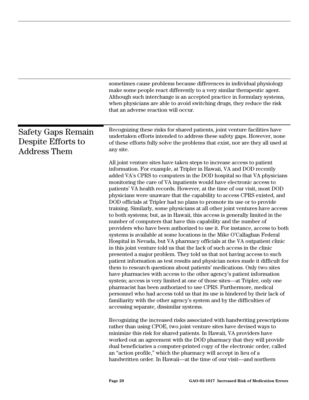|                                                                 | sometimes cause problems because differences in individual physiology<br>make some people react differently to a very similar therapeutic agent.<br>Although such interchange is an accepted practice in formulary systems,<br>when physicians are able to avoid switching drugs, they reduce the risk<br>that an adverse reaction will occur.                                                                                                                                                                                                                                                                                                                                                                                                                                                                                                                                                                                                                                                                                                                                                                                                                                                                                                                                                                                                                                                                                                                                                                                                                                                                                                                                                                                                       |
|-----------------------------------------------------------------|------------------------------------------------------------------------------------------------------------------------------------------------------------------------------------------------------------------------------------------------------------------------------------------------------------------------------------------------------------------------------------------------------------------------------------------------------------------------------------------------------------------------------------------------------------------------------------------------------------------------------------------------------------------------------------------------------------------------------------------------------------------------------------------------------------------------------------------------------------------------------------------------------------------------------------------------------------------------------------------------------------------------------------------------------------------------------------------------------------------------------------------------------------------------------------------------------------------------------------------------------------------------------------------------------------------------------------------------------------------------------------------------------------------------------------------------------------------------------------------------------------------------------------------------------------------------------------------------------------------------------------------------------------------------------------------------------------------------------------------------------|
| Safety Gaps Remain<br>Despite Efforts to<br><b>Address Them</b> | Recognizing these risks for shared patients, joint venture facilities have<br>undertaken efforts intended to address these safety gaps. However, none<br>of these efforts fully solve the problems that exist, nor are they all used at<br>any site.                                                                                                                                                                                                                                                                                                                                                                                                                                                                                                                                                                                                                                                                                                                                                                                                                                                                                                                                                                                                                                                                                                                                                                                                                                                                                                                                                                                                                                                                                                 |
|                                                                 | All joint venture sites have taken steps to increase access to patient<br>information. For example, at Tripler in Hawaii, VA and DOD recently<br>added VA's CPRS to computers in the DOD hospital so that VA physicians<br>monitoring the care of VA inpatients would have electronic access to<br>patients' VA health records. However, at the time of our visit, most DOD<br>physicians were unaware that the capability to access CPRS existed, and<br>DOD officials at Tripler had no plans to promote its use or to provide<br>training. Similarly, some physicians at all other joint ventures have access<br>to both systems; but, as in Hawaii, this access is generally limited in the<br>number of computers that have this capability and the number of<br>providers who have been authorized to use it. For instance, access to both<br>systems is available at some locations in the Mike O'Callaghan Federal<br>Hospital in Nevada, but VA pharmacy officials at the VA outpatient clinic<br>in this joint venture told us that the lack of such access in the clinic<br>presented a major problem. They told us that not having access to such<br>patient information as test results and physician notes made it difficult for<br>them to research questions about patients' medications. Only two sites<br>have pharmacies with access to the other agency's patient information<br>system; access is very limited at one of those sites—at Tripler, only one<br>pharmacist has been authorized to use CPRS. Furthermore, medical<br>personnel who had access told us that its use is hindered by their lack of<br>familiarity with the other agency's system and by the difficulties of<br>accessing separate, dissimilar systems. |
|                                                                 | Recognizing the increased risks associated with handwriting prescriptions<br>rather than using CPOE, two joint venture sites have devised ways to<br>minimize this risk for shared patients. In Hawaii, VA providers have<br>worked out an agreement with the DOD pharmacy that they will provide<br>dual beneficiaries a computer-printed copy of the electronic order, called<br>an "action profile," which the pharmacy will accept in lieu of a<br>handwritten order. In Hawaii-at the time of our visit-and northern                                                                                                                                                                                                                                                                                                                                                                                                                                                                                                                                                                                                                                                                                                                                                                                                                                                                                                                                                                                                                                                                                                                                                                                                                            |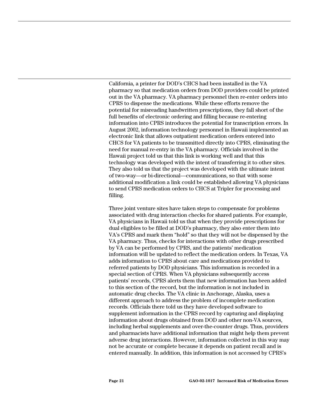California, a printer for DOD's CHCS had been installed in the VA pharmacy so that medication orders from DOD providers could be printed out in the VA pharmacy. VA pharmacy personnel then re-enter orders into CPRS to dispense the medications. While these efforts remove the potential for misreading handwritten prescriptions, they fall short of the full benefits of electronic ordering and filling because re-entering information into CPRS introduces the potential for transcription errors. In August 2002, information technology personnel in Hawaii implemented an electronic link that allows outpatient medication orders entered into CHCS for VA patients to be transmitted directly into CPRS, eliminating the need for manual re-entry in the VA pharmacy. Officials involved in the Hawaii project told us that this link is working well and that this technology was developed with the intent of transferring it to other sites. They also told us that the project was developed with the ultimate intent of two-way—or bi-directional—communications, so that with some additional modification a link could be established allowing VA physicians to send CPRS medication orders to CHCS at Tripler for processing and filling.

Three joint venture sites have taken steps to compensate for problems associated with drug interaction checks for shared patients. For example, VA physicians in Hawaii told us that when they provide prescriptions for dual eligibles to be filled at DOD's pharmacy, they also enter them into VA's CPRS and mark them "hold" so that they will not be dispensed by the VA pharmacy. Thus, checks for interactions with other drugs prescribed by VA can be performed by CPRS, and the patients' medication information will be updated to reflect the medication orders. In Texas, VA adds information to CPRS about care and medications provided to referred patients by DOD physicians. This information is recorded in a special section of CPRS. When VA physicians subsequently access patients' records, CPRS alerts them that new information has been added to this section of the record, but the information is not included in automatic drug checks. The VA clinic in Anchorage, Alaska, uses a different approach to address the problem of incomplete medication records. Officials there told us they have developed software to supplement information in the CPRS record by capturing and displaying information about drugs obtained from DOD and other non-VA sources, including herbal supplements and over-the-counter drugs. Thus, providers and pharmacists have additional information that might help them prevent adverse drug interactions. However, information collected in this way may not be accurate or complete because it depends on patient recall and is entered manually. In addition, this information is not accessed by CPRS's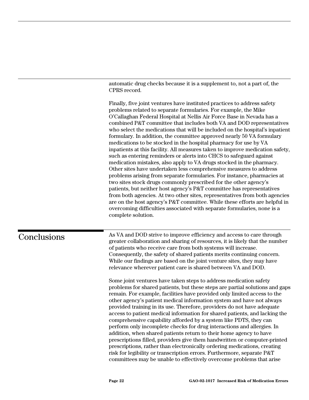automatic drug checks because it is a supplement to, not a part of, the CPRS record.

Finally, five joint ventures have instituted practices to address safety problems related to separate formularies. For example, the Mike O'Callaghan Federal Hospital at Nellis Air Force Base in Nevada has a combined P&T committee that includes both VA and DOD representatives who select the medications that will be included on the hospital's inpatient formulary. In addition, the committee approved nearly 50 VA formulary medications to be stocked in the hospital pharmacy for use by VA inpatients at this facility. All measures taken to improve medication safety, such as entering reminders or alerts into CHCS to safeguard against medication mistakes, also apply to VA drugs stocked in the pharmacy. Other sites have undertaken less comprehensive measures to address problems arising from separate formularies. For instance, pharmacies at two sites stock drugs commonly prescribed for the other agency's patients, but neither host agency's P&T committee has representatives from both agencies. At two other sites, representatives from both agencies are on the host agency's P&T committee. While these efforts are helpful in overcoming difficulties associated with separate formularies, none is a complete solution.

## **Conclusions**

As VA and DOD strive to improve efficiency and access to care through greater collaboration and sharing of resources, it is likely that the number of patients who receive care from both systems will increase. Consequently, the safety of shared patients merits continuing concern. While our findings are based on the joint venture sites, they may have relevance wherever patient care is shared between VA and DOD.

Some joint ventures have taken steps to address medication safety problems for shared patients, but these steps are partial solutions and gaps remain. For example, facilities have provided only limited access to the other agency's patient medical information system and have not always provided training in its use. Therefore, providers do not have adequate access to patient medical information for shared patients, and lacking the comprehensive capability afforded by a system like PDTS, they can perform only incomplete checks for drug interactions and allergies. In addition, when shared patients return to their home agency to have prescriptions filled, providers give them handwritten or computer-printed prescriptions, rather than electronically ordering medications, creating risk for legibility or transcription errors. Furthermore, separate P&T committees may be unable to effectively overcome problems that arise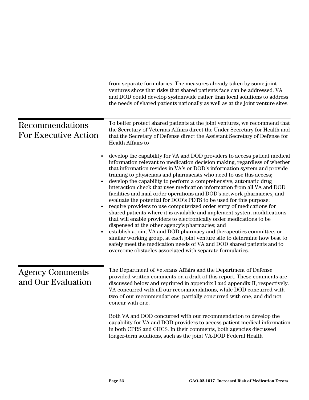|                                                | from separate formularies. The measures already taken by some joint<br>ventures show that risks that shared patients face can be addressed. VA<br>and DOD could develop systemwide rather than local solutions to address<br>the needs of shared patients nationally as well as at the joint venture sites.                                                                                                                                                                                                                                                                                                                                                                                                                                                                                                                                                                                                                                                                                                                                                                                                                                                                        |
|------------------------------------------------|------------------------------------------------------------------------------------------------------------------------------------------------------------------------------------------------------------------------------------------------------------------------------------------------------------------------------------------------------------------------------------------------------------------------------------------------------------------------------------------------------------------------------------------------------------------------------------------------------------------------------------------------------------------------------------------------------------------------------------------------------------------------------------------------------------------------------------------------------------------------------------------------------------------------------------------------------------------------------------------------------------------------------------------------------------------------------------------------------------------------------------------------------------------------------------|
| Recommendations<br><b>For Executive Action</b> | To better protect shared patients at the joint ventures, we recommend that<br>the Secretary of Veterans Affairs direct the Under Secretary for Health and<br>that the Secretary of Defense direct the Assistant Secretary of Defense for<br>Health Affairs to                                                                                                                                                                                                                                                                                                                                                                                                                                                                                                                                                                                                                                                                                                                                                                                                                                                                                                                      |
|                                                | develop the capability for VA and DOD providers to access patient medical<br>information relevant to medication decision making, regardless of whether<br>that information resides in VA's or DOD's information system and provide<br>training to physicians and pharmacists who need to use this access;<br>develop the capability to perform a comprehensive, automatic drug<br>interaction check that uses medication information from all VA and DOD<br>facilities and mail order operations and DOD's network pharmacies, and<br>evaluate the potential for DOD's PDTS to be used for this purpose;<br>require providers to use computerized order entry of medications for<br>shared patients where it is available and implement system modifications<br>that will enable providers to electronically order medications to be<br>dispensed at the other agency's pharmacies; and<br>establish a joint VA and DOD pharmacy and therapeutics committee, or<br>similar working group, at each joint venture site to determine how best to<br>safely meet the medication needs of VA and DOD shared patients and to<br>overcome obstacles associated with separate formularies. |
| <b>Agency Comments</b><br>and Our Evaluation   | The Department of Veterans Affairs and the Department of Defense<br>provided written comments on a draft of this report. These comments are<br>discussed below and reprinted in appendix I and appendix II, respectively.<br>VA concurred with all our recommendations, while DOD concurred with<br>two of our recommendations, partially concurred with one, and did not<br>concur with one.                                                                                                                                                                                                                                                                                                                                                                                                                                                                                                                                                                                                                                                                                                                                                                                      |
|                                                | Both VA and DOD concurred with our recommendation to develop the<br>capability for VA and DOD providers to access patient medical information<br>in both CPRS and CHCS. In their comments, both agencies discussed<br>longer-term solutions, such as the joint VA-DOD Federal Health                                                                                                                                                                                                                                                                                                                                                                                                                                                                                                                                                                                                                                                                                                                                                                                                                                                                                               |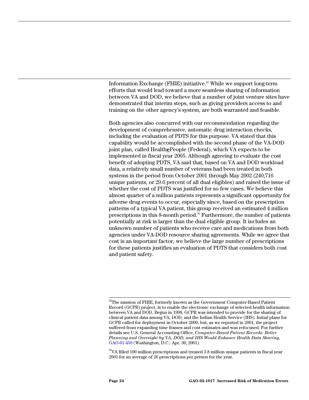Information Exchange (FHIE) initiative.<sup>32</sup> While we support long-term efforts that would lead toward a more seamless sharing of information between VA and DOD, we believe that a number of joint venture sites have demonstrated that interim steps, such as giving providers access to and training on the other agency's system, are both warranted and feasible.

Both agencies also concurred with our recommendation regarding the development of comprehensive, automatic drug interaction checks, including the evaluation of PDTS for this purpose. VA stated that this capability would be accomplished with the second phase of the VA-DOD joint plan, called Health**e**People (Federal), which VA expects to be implemented in fiscal year 2005. Although agreeing to evaluate the cost benefit of adopting PDTS, VA said that, based on VA and DOD workload data, a relatively small number of veterans had been treated in both systems in the period from October 2001 through May 2002 (240,716 unique patients, or 29.6 percent of all dual eligibles) and raised the issue of whether the cost of PDTS was justified for so few cases. We believe this almost quarter of a million patients represents a significant opportunity for adverse drug events to occur, especially since, based on the prescription patterns of a typical VA patient, this group received an estimated 4 million prescriptions in this 8-month period.33 Furthermore, the number of patients potentially at risk is larger than the dual eligible group. It includes an unknown number of patients who receive care and medications from both agencies under VA-DOD resource sharing agreements. While we agree that cost is an important factor, we believe the large number of prescriptions for these patients justifies an evaluation of PDTS that considers both cost and patient safety.

 $32$ The mission of FHIE, formerly known as the Government Computer-Based Patient Record (GCPR) project, is to enable the electronic exchange of selected health information between VA and DOD. Begun in 1998, GCPR was intended to provide for the sharing of clinical patient data among VA, DOD, and the Indian Health Service (IHS). Initial plans for GCPR called for deployment in October 2000, but, as we reported in 2001, the project suffered from expanding time frames and cost estimates and was refocused. For further details see U.S. General Accounting Office, *Computer-Based Patient Records: Better Planning and Oversight by VA, DOD, and IHS Would Enhance Health Data Sharing*, [GAO-01-459 \(](http://www.gao.gov./cgi-bin/getrpt?GAO-01-459)Washington, D.C.: Apr. 30, 2001).

 $33$ VA filled 100 million prescriptions and treated  $3.8$  million unique patients in fiscal year 2001 for an average of 26 prescriptions per person for the year.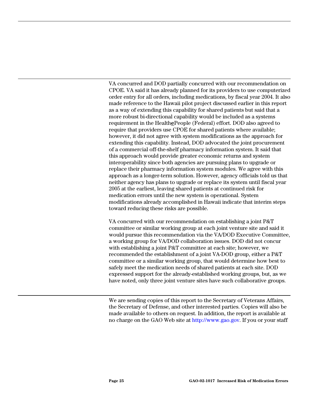VA concurred and DOD partially concurred with our recommendation on CPOE. VA said it has already planned for its providers to use computerized order entry for all orders, including medications, by fiscal year 2004. It also made reference to the Hawaii pilot project discussed earlier in this report as a way of extending this capability for shared patients but said that a more robust bi-directional capability would be included as a systems requirement in the Health**e**People (Federal) effort. DOD also agreed to require that providers use CPOE for shared patients where available; however, it did not agree with system modifications as the approach for extending this capability. Instead, DOD advocated the joint procurement of a commercial off-the-shelf pharmacy information system. It said that this approach would provide greater economic returns and system interoperability since both agencies are pursuing plans to upgrade or replace their pharmacy information system modules. We agree with this approach as a longer-term solution. However, agency officials told us that neither agency has plans to upgrade or replace its system until fiscal year 2005 at the earliest, leaving shared patients at continued risk for medication errors until the new system is operational. System modifications already accomplished in Hawaii indicate that interim steps toward reducing these risks are possible.

VA concurred with our recommendation on establishing a joint P&T committee or similar working group at each joint venture site and said it would pursue this recommendation via the VA/DOD Executive Committee, a working group for VA/DOD collaboration issues. DOD did not concur with establishing a joint P&T committee at each site; however, we recommended the establishment of a joint VA-DOD group, either a P&T committee or a similar working group, that would determine how best to safely meet the medication needs of shared patients at each site. DOD expressed support for the already-established working groups, but, as we have noted, only three joint venture sites have such collaborative groups.

We are sending copies of this report to the Secretary of Veterans Affairs, the Secretary of Defense, and other interested parties. Copies will also be made available to others on request. In addition, the report is available at no charge on the GAO Web site at [http://www.gao.gov.](http://www.gao.gov/) If you or your staff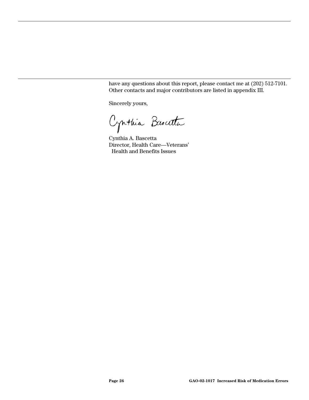have any questions about this report, please contact me at (202) 512-7101. Other contacts and major contributors are listed in appendix III.

Sincerely yours,

Cynthia Buscata

Cynthia A. Bascetta Director, Health Care—Veterans' Health and Benefits Issues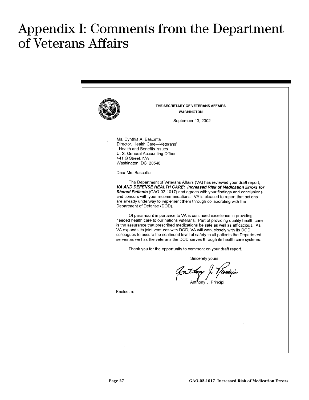#### $\mathbf{c}$   $\mathbf{c}$   $\mathbf{c}$   $\mathbf{c}$   $\mathbf{c}$   $\mathbf{c}$   $\mathbf{c}$   $\mathbf{c}$   $\mathbf{c}$   $\mathbf{c}$   $\mathbf{c}$   $\mathbf{d}$ **of Veterans Affairs**  Appendix I: Comments from the Department of Veterans Affairs

THE SECRETARY OF VETERANS AFFAIRS **WASHINGTON** September 13, 2002 Ms. Cynthia A. Bascetta Director, Health Care-Veterans' Health and Benefits Issues U. S. General Accounting Office 441 G Street, NW Washington, DC 20548 Dear Ms. Bascetta: The Department of Veterans Affairs (VA) has reviewed your draft report, VA AND DEFENSE HEALTH CARE: Increased Risk of Medication Errors for Shared Patients (GAO-02-1017) and agrees with your findings and conclusions and concurs with your recommendations. VA is pleased to report that actions are already underway to implement them through collaborating with the Department of Defense (DOD). Of paramount importance to VA is continued excellence in providing needed health care to our nations veterans. Part of providing quality health care is the assurance that prescribed medications be safe as well as efficacious. As VA expands its joint ventures with DOD, VA will work closely with its DOD colleagues to assure the continued level of safety to all patients the Department serves as well as the veterans the DOD serves through its health care systems. Thank you for the opportunity to comment on your draft report. Sincerely yours, Anthopy & Venigi Anthony J. Principi Enclosure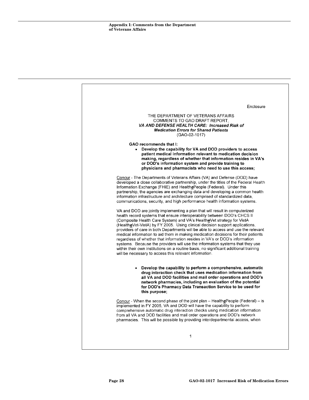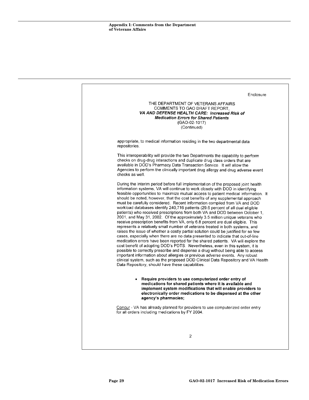|                 | Enclosure                                                                                                                                                                                                                                                                                                                                                                                                                                                                                                                                                                                                                                                                                                                                                                                                                                                                                                                                                                                                                                                                                                                                                                                                                                                                                                                                                                                                                                                                                                  |
|-----------------|------------------------------------------------------------------------------------------------------------------------------------------------------------------------------------------------------------------------------------------------------------------------------------------------------------------------------------------------------------------------------------------------------------------------------------------------------------------------------------------------------------------------------------------------------------------------------------------------------------------------------------------------------------------------------------------------------------------------------------------------------------------------------------------------------------------------------------------------------------------------------------------------------------------------------------------------------------------------------------------------------------------------------------------------------------------------------------------------------------------------------------------------------------------------------------------------------------------------------------------------------------------------------------------------------------------------------------------------------------------------------------------------------------------------------------------------------------------------------------------------------------|
|                 | THE DEPARTMENT OF VETERANS AFFAIRS<br>COMMENTS TO GAO DRAFT REPORT.<br>VA AND DEFENSE HEALTH CARE: Increased Risk of<br><b>Medication Errors for Shared Patients</b><br>$(GAO-02-1017)$<br>(Continued)                                                                                                                                                                                                                                                                                                                                                                                                                                                                                                                                                                                                                                                                                                                                                                                                                                                                                                                                                                                                                                                                                                                                                                                                                                                                                                     |
| repositories.   | appropriate, to medical information residing in the two departmental data                                                                                                                                                                                                                                                                                                                                                                                                                                                                                                                                                                                                                                                                                                                                                                                                                                                                                                                                                                                                                                                                                                                                                                                                                                                                                                                                                                                                                                  |
| checks as well. | This interoperability will provide the two Departments the capability to perform<br>checks on drug-drug interactions and duplicate drug class orders that are<br>available in DOD's Pharmacy Data Transaction Service. It will allow the<br>Agencies to perform the clinically important drug allergy and drug adverse event                                                                                                                                                                                                                                                                                                                                                                                                                                                                                                                                                                                                                                                                                                                                                                                                                                                                                                                                                                                                                                                                                                                                                                               |
|                 | During the interim period before full implementation of the proposed joint health<br>information systems, VA will continue to work closely with DOD in identifying<br>feasible opportunities to maximize mutual access to patient medical information. It<br>should be noted, however, that the cost benefits of any supplemental approach<br>must be carefully considered. Recent information compiled from VA and DOD<br>workload databases identify 240,716 patients (29.6 percent of all dual eligible<br>patients) who received prescriptions from both VA and DOD between October 1,<br>2001, and May 31, 2002. Of the approximately 3.5 million unique veterans who<br>receive prescription benefits from VA, only 6.8 percent are dual eligible. This<br>represents a relatively small number of veterans treated in both systems, and<br>raises the issue of whether a costly partial solution could be justified for so few<br>cases, especially when there are no data presented to indicate that out-of-line<br>medication errors have been reported for the shared patients. VA will explore the<br>cost benefit of adopting DOD's PDTS. Nevertheless, even in this system, it is<br>possible to correctly prescribe and dispense a drug without being able to access<br>important information about allergies or previous adverse events. Any robust<br>clinical system, such as the proposed DOD Clinical Data Repository and VA Health<br>Data Repository, should have these capabilities. |
| ٠               | Require providers to use computerized order entry of<br>medications for shared patients where it is available and<br>implement system modifications that will enable providers to<br>electronically order medications to be dispensed at the other<br>agency's pharmacies;                                                                                                                                                                                                                                                                                                                                                                                                                                                                                                                                                                                                                                                                                                                                                                                                                                                                                                                                                                                                                                                                                                                                                                                                                                 |
|                 | Concur - VA has already planned for providers to use computerized order entry<br>for all orders including medications by FY 2004.                                                                                                                                                                                                                                                                                                                                                                                                                                                                                                                                                                                                                                                                                                                                                                                                                                                                                                                                                                                                                                                                                                                                                                                                                                                                                                                                                                          |
|                 |                                                                                                                                                                                                                                                                                                                                                                                                                                                                                                                                                                                                                                                                                                                                                                                                                                                                                                                                                                                                                                                                                                                                                                                                                                                                                                                                                                                                                                                                                                            |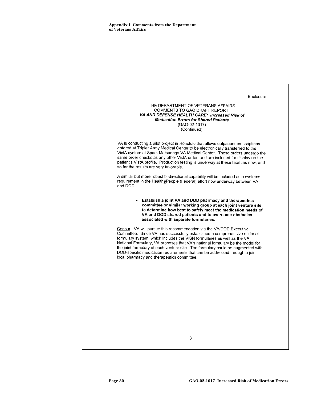|                                                                                                                                                                                                                                                                                                                                                                                                                                           | Enclosure                                                                                                                                                                                                                                                                                                                                   |
|-------------------------------------------------------------------------------------------------------------------------------------------------------------------------------------------------------------------------------------------------------------------------------------------------------------------------------------------------------------------------------------------------------------------------------------------|---------------------------------------------------------------------------------------------------------------------------------------------------------------------------------------------------------------------------------------------------------------------------------------------------------------------------------------------|
|                                                                                                                                                                                                                                                                                                                                                                                                                                           | THE DEPARTMENT OF VETERANS AFFAIRS<br>COMMENTS TO GAO DRAFT REPORT.<br>VA AND DEFENSE HEALTH CARE: Increased Risk of<br><b>Medication Errors for Shared Patients</b><br>(GAO-02-1017)<br>(Continued)                                                                                                                                        |
| entered at Tripler Army Medical Center to be electronically transferred to the<br>so far the results are very favorable.                                                                                                                                                                                                                                                                                                                  | VA is conducting a pilot project in Honolulu that allows outpatient prescriptions<br>VistA system at Spark Matsunaga VA Medical Center. These orders undergo the<br>same order checks as any other VistA order, and are included for display on the<br>patient's VistA profile. Production testing is underway at these facilities now, and |
| A similar but more robust bi-directional capability will be included as a systems<br>requirement in the HealthePeople (Federal) effort now underway between VA<br>and DOD.                                                                                                                                                                                                                                                                |                                                                                                                                                                                                                                                                                                                                             |
| ٠<br>associated with separate formularies.                                                                                                                                                                                                                                                                                                                                                                                                | <b>Establish a joint VA and DOD pharmacy and therapeutics</b><br>committee or similar working group at each joint venture site<br>to determine how best to safely meet the medication needs of<br>VA and DOD shared patients and to overcome obstacles                                                                                      |
| Concur - VA will pursue this recommendation via the VA/DOD Executive<br>Committee. Since VA has successfully established a comprehensive national<br>formulary system, which includes the VISN formularies as well as the VA<br>National Formulary, VA proposes that VA's national formulary be the model for<br>DOD-specific medication requirements that can be addressed through a joint<br>local pharmacy and therapeutics committee. | the joint formulary at each venture site. The formulary could be augmented with                                                                                                                                                                                                                                                             |
|                                                                                                                                                                                                                                                                                                                                                                                                                                           |                                                                                                                                                                                                                                                                                                                                             |
|                                                                                                                                                                                                                                                                                                                                                                                                                                           |                                                                                                                                                                                                                                                                                                                                             |
|                                                                                                                                                                                                                                                                                                                                                                                                                                           | 3                                                                                                                                                                                                                                                                                                                                           |
|                                                                                                                                                                                                                                                                                                                                                                                                                                           |                                                                                                                                                                                                                                                                                                                                             |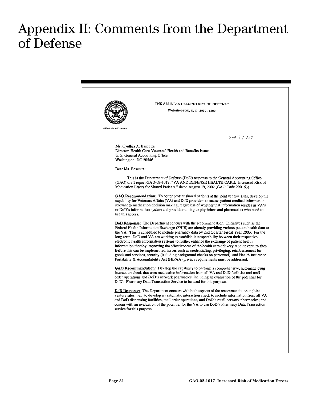#### $\mathbf{C}$ **of Defense**  Appendix II: Comments from the Department of Defense

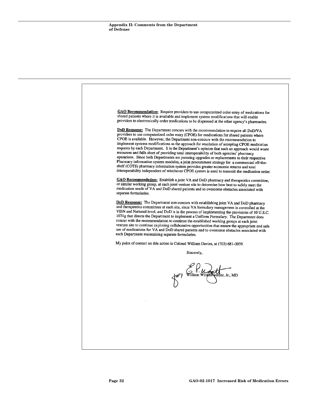GAO Recommendation: Require providers to use computerized order entry of medications for shared patients where it is available and implement system modifications that will enable providers to electronically order medications to be dispensed at the other agency's pharmacies. DoD Response: The Department concurs with the recommendation to require all DoD/VA providers to use computerized order entry (CPOE) for medications for shared patients where CPOE is available. However, the Department non-concurs with the recommendation to implement systems modifications as the approach for resolution of accepting CPOE medication requests by each Department. It is the Department's opinion that such an approach would waste resources and falls short of providing total interoperability of both agencies' pharmacy operations. Since both Departments are pursuing upgrades or replacements to their respective Pharmacy information system modules, a joint procurement strategy for a commercial off-theshelf (COTS) pharmacy information system provides greater economic returns and total interoperability independent of whichever CPOE system is used to transmit the medication order. GAO Recommendation: Establish a joint VA and DoD pharmacy and therapeutics committee, or similar working group, at each joint venture site to determine how best to safely meet the medication needs of VA and DoD shared patients and to overcome obstacles associated with separate formularies. DoD Response: The Department non-concurs with establishing joint VA and DoD pharmacy and therapeutics committees at each site, since VA formulary management is controlled at the VISN and National level, and DoD is in the process of implementing the provisions of 10 U.S.C. 1074g that directs the Department to implement a Uniform Formulary. The Department does concur with the recommendation to continue the established working groups at each joint venture site to continue exploring collaborative opportunities that ensure the appropriate and safe use of medications for VA and DoD shared patients and to overcome obstacles associated with each Department maintaining separate formularies. My point of contact on this action is Colonel William Davies, at (703) 681-0039. Sincerely, William Winker rder, Jr., MD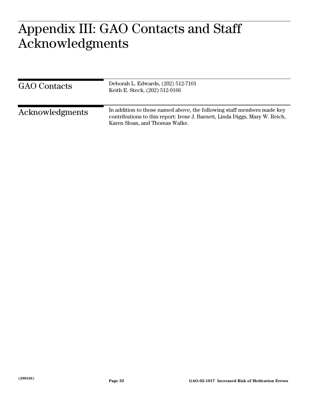#### $\Lambda \cap \Gamma$ **Acknowledgments**  Appendix III: GAO Contacts and Staff Acknowledgments

| <b>GAO</b> Contacts | Deborah L. Edwards, (202) 512-7101<br>Keith E. Steck, (202) 512-9166                                                                                                                    |
|---------------------|-----------------------------------------------------------------------------------------------------------------------------------------------------------------------------------------|
| Acknowledgments     | In addition to those named above, the following staff members made key<br>contributions to this report: Irene J. Barnett, Linda Diggs, Mary W. Reich,<br>Karen Sloan, and Thomas Walke. |